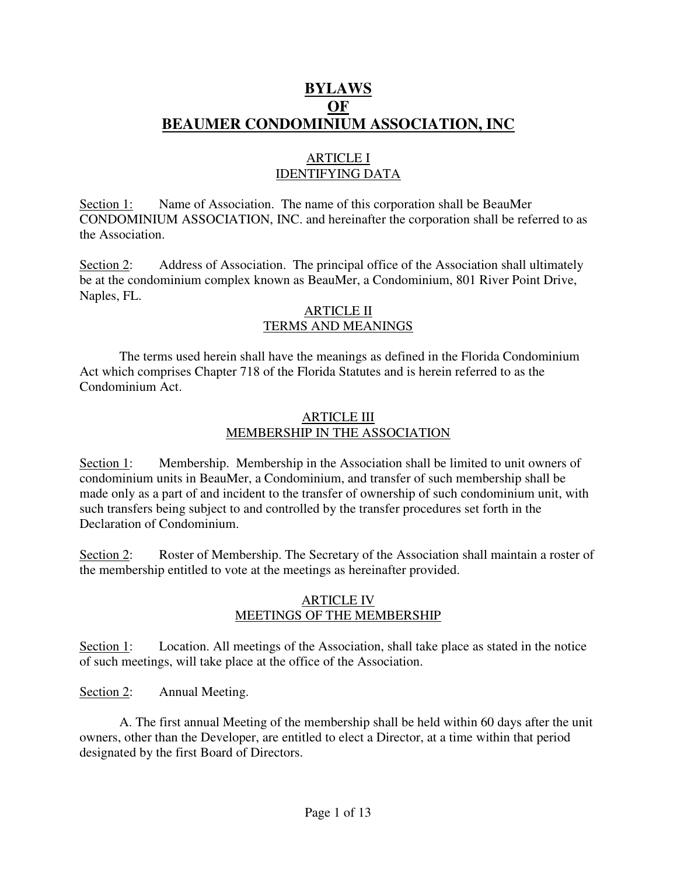# **BYLAWS OF BEAUMER CONDOMINIUM ASSOCIATION, INC**

# ARTICLE I IDENTIFYING DATA

Section 1: Name of Association. The name of this corporation shall be BeauMer CONDOMINIUM ASSOCIATION, INC. and hereinafter the corporation shall be referred to as the Association.

Section 2: Address of Association. The principal office of the Association shall ultimately be at the condominium complex known as BeauMer, a Condominium, 801 River Point Drive, Naples, FL.

### ARTICLE II TERMS AND MEANINGS

 The terms used herein shall have the meanings as defined in the Florida Condominium Act which comprises Chapter 718 of the Florida Statutes and is herein referred to as the Condominium Act.

### ARTICLE III MEMBERSHIP IN THE ASSOCIATION

Section 1: Membership. Membership in the Association shall be limited to unit owners of condominium units in BeauMer, a Condominium, and transfer of such membership shall be made only as a part of and incident to the transfer of ownership of such condominium unit, with such transfers being subject to and controlled by the transfer procedures set forth in the Declaration of Condominium.

Section 2: Roster of Membership. The Secretary of the Association shall maintain a roster of the membership entitled to vote at the meetings as hereinafter provided.

#### ARTICLE IV MEETINGS OF THE MEMBERSHIP

Section 1: Location. All meetings of the Association, shall take place as stated in the notice of such meetings, will take place at the office of the Association.

Section 2: Annual Meeting.

 A. The first annual Meeting of the membership shall be held within 60 days after the unit owners, other than the Developer, are entitled to elect a Director, at a time within that period designated by the first Board of Directors.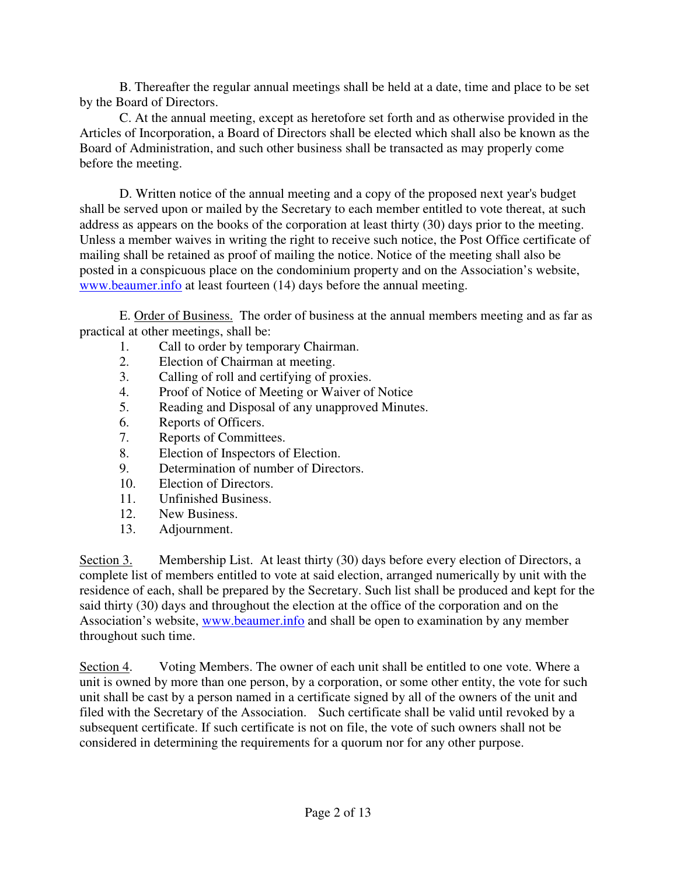B. Thereafter the regular annual meetings shall be held at a date, time and place to be set by the Board of Directors.

 C. At the annual meeting, except as heretofore set forth and as otherwise provided in the Articles of Incorporation, a Board of Directors shall be elected which shall also be known as the Board of Administration, and such other business shall be transacted as may properly come before the meeting.

 D. Written notice of the annual meeting and a copy of the proposed next year's budget shall be served upon or mailed by the Secretary to each member entitled to vote thereat, at such address as appears on the books of the corporation at least thirty (30) days prior to the meeting. Unless a member waives in writing the right to receive such notice, the Post Office certificate of mailing shall be retained as proof of mailing the notice. Notice of the meeting shall also be posted in a conspicuous place on the condominium property and on the Association's website, www.beaumer.info at least fourteen (14) days before the annual meeting.

 E. Order of Business. The order of business at the annual members meeting and as far as practical at other meetings, shall be:

- 1. Call to order by temporary Chairman.
- 2. Election of Chairman at meeting.
- 3. Calling of roll and certifying of proxies.
- 4. Proof of Notice of Meeting or Waiver of Notice
- 5. Reading and Disposal of any unapproved Minutes.
- 6. Reports of Officers.
- 7. Reports of Committees.
- 8. Election of Inspectors of Election.
- 9. Determination of number of Directors.
- 10. Election of Directors.
- 11. Unfinished Business.
- 12. New Business.
- 13. Adjournment.

Section 3. Membership List. At least thirty (30) days before every election of Directors, a complete list of members entitled to vote at said election, arranged numerically by unit with the residence of each, shall be prepared by the Secretary. Such list shall be produced and kept for the said thirty (30) days and throughout the election at the office of the corporation and on the Association's website, www.beaumer.info and shall be open to examination by any member throughout such time.

Section 4. Voting Members. The owner of each unit shall be entitled to one vote. Where a unit is owned by more than one person, by a corporation, or some other entity, the vote for such unit shall be cast by a person named in a certificate signed by all of the owners of the unit and filed with the Secretary of the Association. Such certificate shall be valid until revoked by a subsequent certificate. If such certificate is not on file, the vote of such owners shall not be considered in determining the requirements for a quorum nor for any other purpose.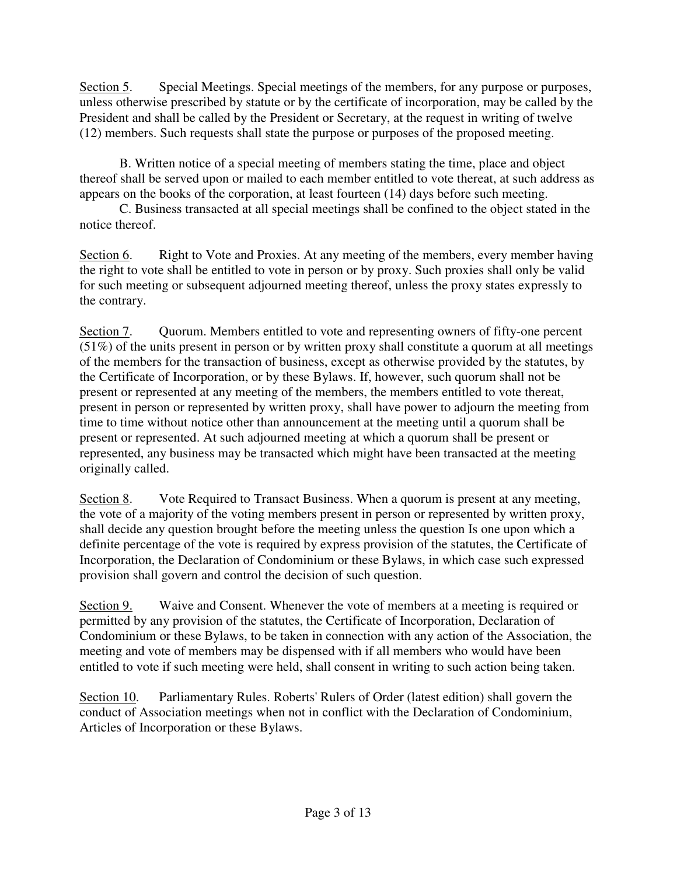Section 5. Special Meetings. Special meetings of the members, for any purpose or purposes, unless otherwise prescribed by statute or by the certificate of incorporation, may be called by the President and shall be called by the President or Secretary, at the request in writing of twelve (12) members. Such requests shall state the purpose or purposes of the proposed meeting.

 B. Written notice of a special meeting of members stating the time, place and object thereof shall be served upon or mailed to each member entitled to vote thereat, at such address as appears on the books of the corporation, at least fourteen (14) days before such meeting.

C. Business transacted at all special meetings shall be confined to the object stated in the notice thereof.

Section 6. Right to Vote and Proxies. At any meeting of the members, every member having the right to vote shall be entitled to vote in person or by proxy. Such proxies shall only be valid for such meeting or subsequent adjourned meeting thereof, unless the proxy states expressly to the contrary.

Section 7. Quorum. Members entitled to vote and representing owners of fifty-one percent (51%) of the units present in person or by written proxy shall constitute a quorum at all meetings of the members for the transaction of business, except as otherwise provided by the statutes, by the Certificate of Incorporation, or by these Bylaws. If, however, such quorum shall not be present or represented at any meeting of the members, the members entitled to vote thereat, present in person or represented by written proxy, shall have power to adjourn the meeting from time to time without notice other than announcement at the meeting until a quorum shall be present or represented. At such adjourned meeting at which a quorum shall be present or represented, any business may be transacted which might have been transacted at the meeting originally called.

Section 8. Vote Required to Transact Business. When a quorum is present at any meeting, the vote of a majority of the voting members present in person or represented by written proxy, shall decide any question brought before the meeting unless the question Is one upon which a definite percentage of the vote is required by express provision of the statutes, the Certificate of Incorporation, the Declaration of Condominium or these Bylaws, in which case such expressed provision shall govern and control the decision of such question.

Section 9. Waive and Consent. Whenever the vote of members at a meeting is required or permitted by any provision of the statutes, the Certificate of Incorporation, Declaration of Condominium or these Bylaws, to be taken in connection with any action of the Association, the meeting and vote of members may be dispensed with if all members who would have been entitled to vote if such meeting were held, shall consent in writing to such action being taken.

Section 10. Parliamentary Rules. Roberts' Rulers of Order (latest edition) shall govern the conduct of Association meetings when not in conflict with the Declaration of Condominium, Articles of Incorporation or these Bylaws.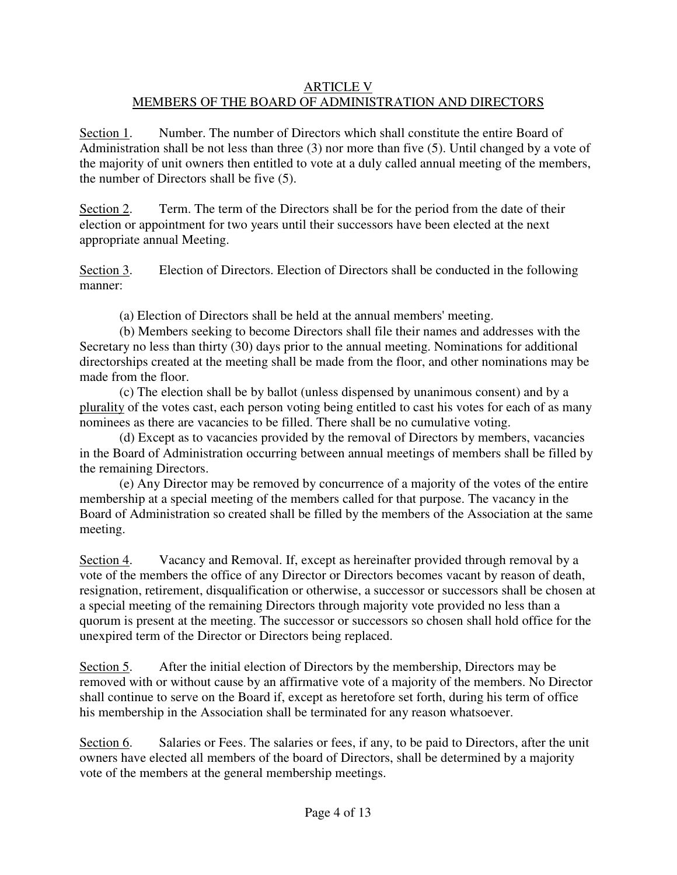# ARTICLE V MEMBERS OF THE BOARD OF ADMINISTRATION AND DIRECTORS

Section 1. Number. The number of Directors which shall constitute the entire Board of Administration shall be not less than three (3) nor more than five (5). Until changed by a vote of the majority of unit owners then entitled to vote at a duly called annual meeting of the members, the number of Directors shall be five (5).

Section 2. Term. The term of the Directors shall be for the period from the date of their election or appointment for two years until their successors have been elected at the next appropriate annual Meeting.

Section 3. Election of Directors. Election of Directors shall be conducted in the following manner:

(a) Election of Directors shall be held at the annual members' meeting.

 (b) Members seeking to become Directors shall file their names and addresses with the Secretary no less than thirty (30) days prior to the annual meeting. Nominations for additional directorships created at the meeting shall be made from the floor, and other nominations may be made from the floor.

 (c) The election shall be by ballot (unless dispensed by unanimous consent) and by a plurality of the votes cast, each person voting being entitled to cast his votes for each of as many nominees as there are vacancies to be filled. There shall be no cumulative voting.

 (d) Except as to vacancies provided by the removal of Directors by members, vacancies in the Board of Administration occurring between annual meetings of members shall be filled by the remaining Directors.

 (e) Any Director may be removed by concurrence of a majority of the votes of the entire membership at a special meeting of the members called for that purpose. The vacancy in the Board of Administration so created shall be filled by the members of the Association at the same meeting.

Section 4. Vacancy and Removal. If, except as hereinafter provided through removal by a vote of the members the office of any Director or Directors becomes vacant by reason of death, resignation, retirement, disqualification or otherwise, a successor or successors shall be chosen at a special meeting of the remaining Directors through majority vote provided no less than a quorum is present at the meeting. The successor or successors so chosen shall hold office for the unexpired term of the Director or Directors being replaced.

Section 5. After the initial election of Directors by the membership, Directors may be removed with or without cause by an affirmative vote of a majority of the members. No Director shall continue to serve on the Board if, except as heretofore set forth, during his term of office his membership in the Association shall be terminated for any reason whatsoever.

Section 6. Salaries or Fees. The salaries or fees, if any, to be paid to Directors, after the unit owners have elected all members of the board of Directors, shall be determined by a majority vote of the members at the general membership meetings.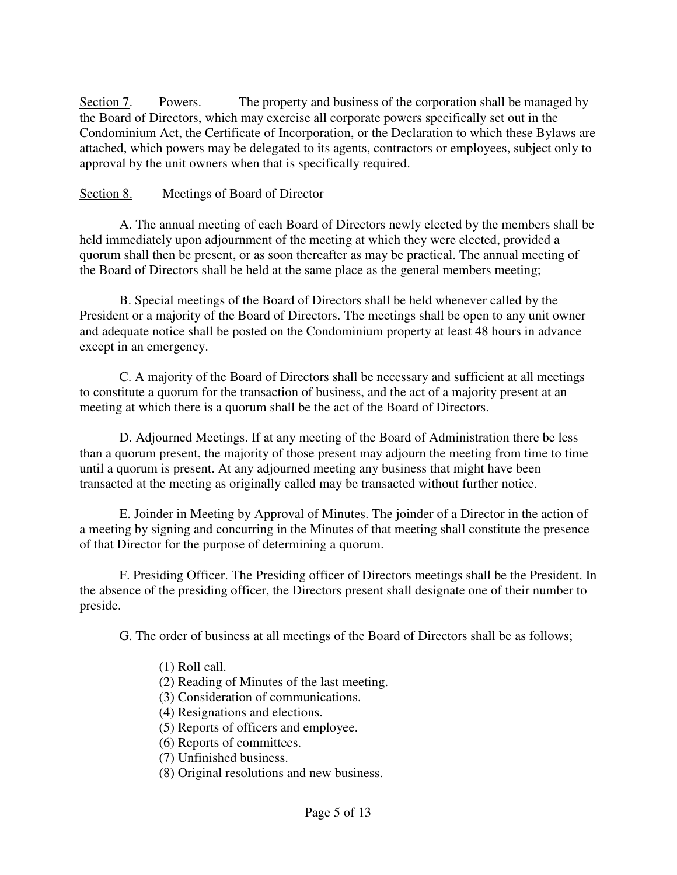Section 7. Powers. The property and business of the corporation shall be managed by the Board of Directors, which may exercise all corporate powers specifically set out in the Condominium Act, the Certificate of Incorporation, or the Declaration to which these Bylaws are attached, which powers may be delegated to its agents, contractors or employees, subject only to approval by the unit owners when that is specifically required.

# Section 8. Meetings of Board of Director

 A. The annual meeting of each Board of Directors newly elected by the members shall be held immediately upon adjournment of the meeting at which they were elected, provided a quorum shall then be present, or as soon thereafter as may be practical. The annual meeting of the Board of Directors shall be held at the same place as the general members meeting;

 B. Special meetings of the Board of Directors shall be held whenever called by the President or a majority of the Board of Directors. The meetings shall be open to any unit owner and adequate notice shall be posted on the Condominium property at least 48 hours in advance except in an emergency.

 C. A majority of the Board of Directors shall be necessary and sufficient at all meetings to constitute a quorum for the transaction of business, and the act of a majority present at an meeting at which there is a quorum shall be the act of the Board of Directors.

 D. Adjourned Meetings. If at any meeting of the Board of Administration there be less than a quorum present, the majority of those present may adjourn the meeting from time to time until a quorum is present. At any adjourned meeting any business that might have been transacted at the meeting as originally called may be transacted without further notice.

 E. Joinder in Meeting by Approval of Minutes. The joinder of a Director in the action of a meeting by signing and concurring in the Minutes of that meeting shall constitute the presence of that Director for the purpose of determining a quorum.

 F. Presiding Officer. The Presiding officer of Directors meetings shall be the President. In the absence of the presiding officer, the Directors present shall designate one of their number to preside.

G. The order of business at all meetings of the Board of Directors shall be as follows;

# (1) Roll call.

- (2) Reading of Minutes of the last meeting.
- (3) Consideration of communications.
- (4) Resignations and elections.
- (5) Reports of officers and employee.
- (6) Reports of committees.
- (7) Unfinished business.
- (8) Original resolutions and new business.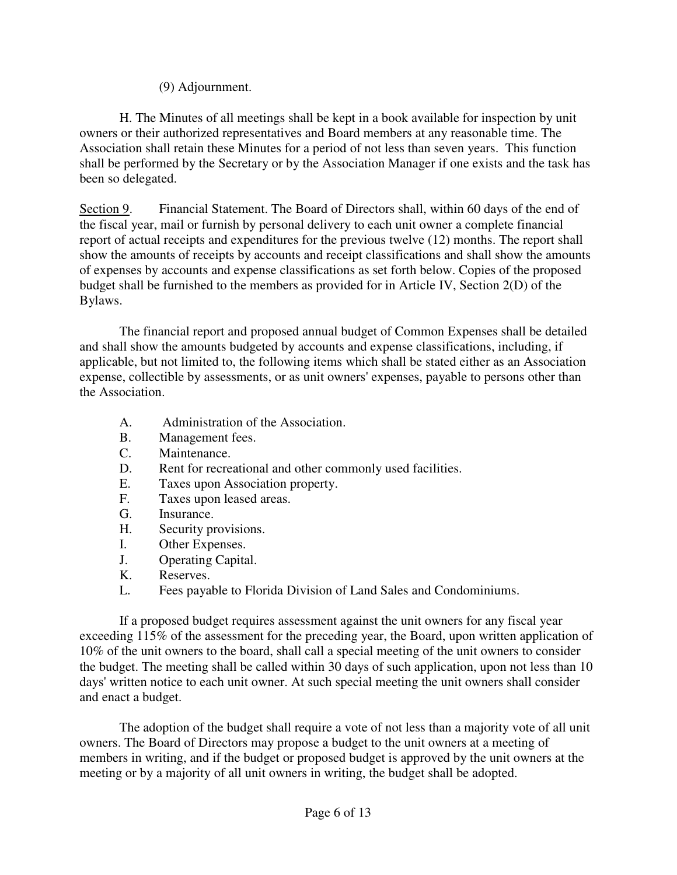# (9) Adjournment.

 H. The Minutes of all meetings shall be kept in a book available for inspection by unit owners or their authorized representatives and Board members at any reasonable time. The Association shall retain these Minutes for a period of not less than seven years. This function shall be performed by the Secretary or by the Association Manager if one exists and the task has been so delegated.

Section 9. Financial Statement. The Board of Directors shall, within 60 days of the end of the fiscal year, mail or furnish by personal delivery to each unit owner a complete financial report of actual receipts and expenditures for the previous twelve (12) months. The report shall show the amounts of receipts by accounts and receipt classifications and shall show the amounts of expenses by accounts and expense classifications as set forth below. Copies of the proposed budget shall be furnished to the members as provided for in Article IV, Section 2(D) of the Bylaws.

 The financial report and proposed annual budget of Common Expenses shall be detailed and shall show the amounts budgeted by accounts and expense classifications, including, if applicable, but not limited to, the following items which shall be stated either as an Association expense, collectible by assessments, or as unit owners' expenses, payable to persons other than the Association.

- A. Administration of the Association.
- B. Management fees.
- C. Maintenance.
- D. Rent for recreational and other commonly used facilities.
- E. Taxes upon Association property.
- F. Taxes upon leased areas.
- G. Insurance.
- H. Security provisions.
- I. Other Expenses.
- J. Operating Capital.
- K. Reserves.
- L. Fees payable to Florida Division of Land Sales and Condominiums.

 If a proposed budget requires assessment against the unit owners for any fiscal year exceeding 115% of the assessment for the preceding year, the Board, upon written application of 10% of the unit owners to the board, shall call a special meeting of the unit owners to consider the budget. The meeting shall be called within 30 days of such application, upon not less than 10 days' written notice to each unit owner. At such special meeting the unit owners shall consider and enact a budget.

 The adoption of the budget shall require a vote of not less than a majority vote of all unit owners. The Board of Directors may propose a budget to the unit owners at a meeting of members in writing, and if the budget or proposed budget is approved by the unit owners at the meeting or by a majority of all unit owners in writing, the budget shall be adopted.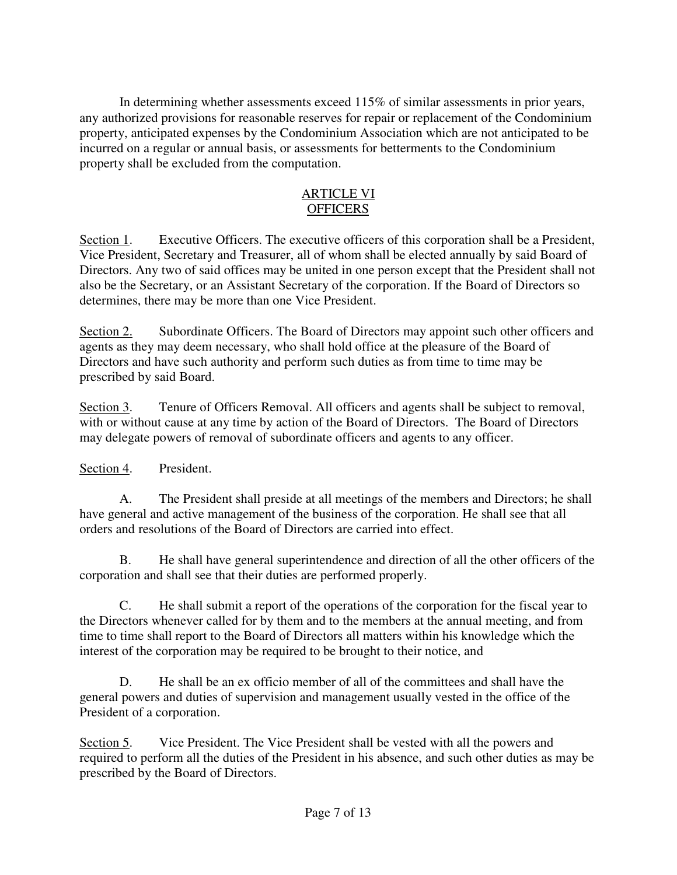In determining whether assessments exceed 115% of similar assessments in prior years, any authorized provisions for reasonable reserves for repair or replacement of the Condominium property, anticipated expenses by the Condominium Association which are not anticipated to be incurred on a regular or annual basis, or assessments for betterments to the Condominium property shall be excluded from the computation.

# ARTICLE VI **OFFICERS**

Section 1. Executive Officers. The executive officers of this corporation shall be a President, Vice President, Secretary and Treasurer, all of whom shall be elected annually by said Board of Directors. Any two of said offices may be united in one person except that the President shall not also be the Secretary, or an Assistant Secretary of the corporation. If the Board of Directors so determines, there may be more than one Vice President.

Section 2. Subordinate Officers. The Board of Directors may appoint such other officers and agents as they may deem necessary, who shall hold office at the pleasure of the Board of Directors and have such authority and perform such duties as from time to time may be prescribed by said Board.

Section 3. Tenure of Officers Removal. All officers and agents shall be subject to removal, with or without cause at any time by action of the Board of Directors. The Board of Directors may delegate powers of removal of subordinate officers and agents to any officer.

Section 4. President.

 A. The President shall preside at all meetings of the members and Directors; he shall have general and active management of the business of the corporation. He shall see that all orders and resolutions of the Board of Directors are carried into effect.

 B. He shall have general superintendence and direction of all the other officers of the corporation and shall see that their duties are performed properly.

 C. He shall submit a report of the operations of the corporation for the fiscal year to the Directors whenever called for by them and to the members at the annual meeting, and from time to time shall report to the Board of Directors all matters within his knowledge which the interest of the corporation may be required to be brought to their notice, and

 D. He shall be an ex officio member of all of the committees and shall have the general powers and duties of supervision and management usually vested in the office of the President of a corporation.

Section 5. Vice President. The Vice President shall be vested with all the powers and required to perform all the duties of the President in his absence, and such other duties as may be prescribed by the Board of Directors.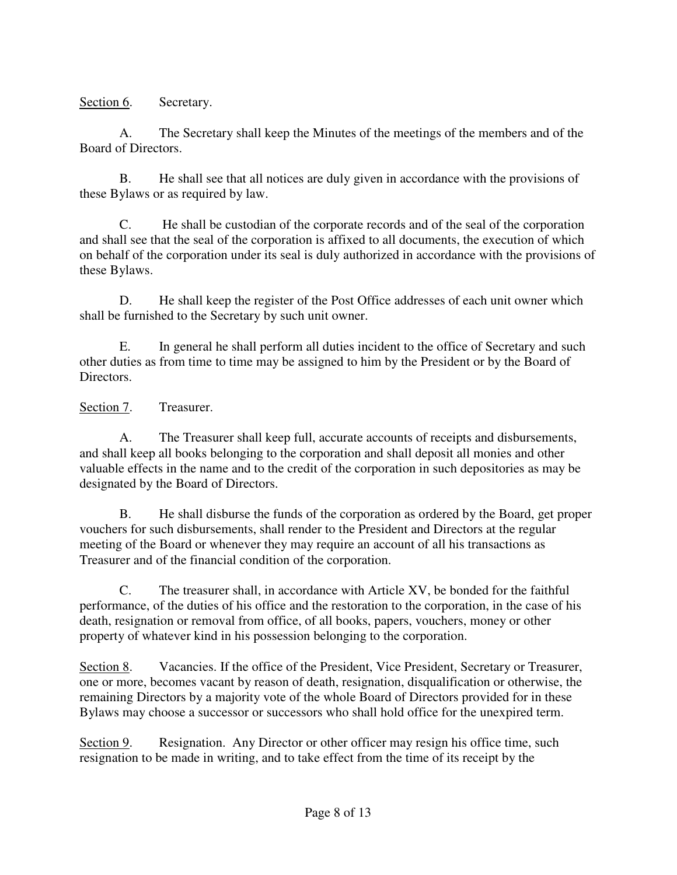Section 6. Secretary.

 A. The Secretary shall keep the Minutes of the meetings of the members and of the Board of Directors.

 B. He shall see that all notices are duly given in accordance with the provisions of these Bylaws or as required by law.

 C. He shall be custodian of the corporate records and of the seal of the corporation and shall see that the seal of the corporation is affixed to all documents, the execution of which on behalf of the corporation under its seal is duly authorized in accordance with the provisions of these Bylaws.

 D. He shall keep the register of the Post Office addresses of each unit owner which shall be furnished to the Secretary by such unit owner.

 E. In general he shall perform all duties incident to the office of Secretary and such other duties as from time to time may be assigned to him by the President or by the Board of Directors.

Section 7. Treasurer.

 A. The Treasurer shall keep full, accurate accounts of receipts and disbursements, and shall keep all books belonging to the corporation and shall deposit all monies and other valuable effects in the name and to the credit of the corporation in such depositories as may be designated by the Board of Directors.

 B. He shall disburse the funds of the corporation as ordered by the Board, get proper vouchers for such disbursements, shall render to the President and Directors at the regular meeting of the Board or whenever they may require an account of all his transactions as Treasurer and of the financial condition of the corporation.

 C. The treasurer shall, in accordance with Article XV, be bonded for the faithful performance, of the duties of his office and the restoration to the corporation, in the case of his death, resignation or removal from office, of all books, papers, vouchers, money or other property of whatever kind in his possession belonging to the corporation.

Section 8. Vacancies. If the office of the President, Vice President, Secretary or Treasurer, one or more, becomes vacant by reason of death, resignation, disqualification or otherwise, the remaining Directors by a majority vote of the whole Board of Directors provided for in these Bylaws may choose a successor or successors who shall hold office for the unexpired term.

Section 9. Resignation. Any Director or other officer may resign his office time, such resignation to be made in writing, and to take effect from the time of its receipt by the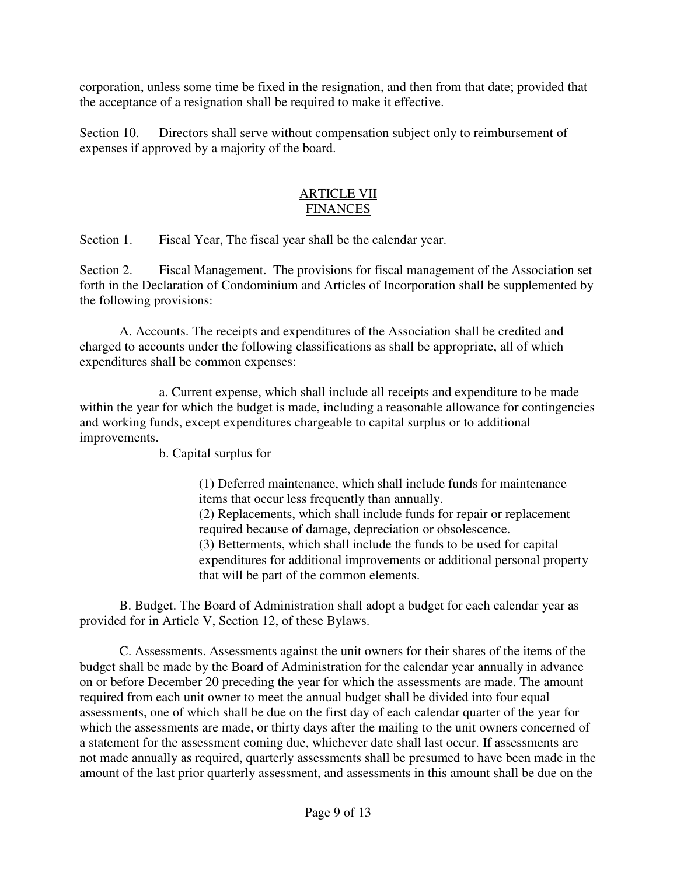corporation, unless some time be fixed in the resignation, and then from that date; provided that the acceptance of a resignation shall be required to make it effective.

Section 10. Directors shall serve without compensation subject only to reimbursement of expenses if approved by a majority of the board.

# ARTICLE VII FINANCES

Section 1. Fiscal Year, The fiscal year shall be the calendar year.

Section 2. Fiscal Management. The provisions for fiscal management of the Association set forth in the Declaration of Condominium and Articles of Incorporation shall be supplemented by the following provisions:

 A. Accounts. The receipts and expenditures of the Association shall be credited and charged to accounts under the following classifications as shall be appropriate, all of which expenditures shall be common expenses:

 a. Current expense, which shall include all receipts and expenditure to be made within the year for which the budget is made, including a reasonable allowance for contingencies and working funds, except expenditures chargeable to capital surplus or to additional improvements.

b. Capital surplus for

(1) Deferred maintenance, which shall include funds for maintenance items that occur less frequently than annually. (2) Replacements, which shall include funds for repair or replacement required because of damage, depreciation or obsolescence. (3) Betterments, which shall include the funds to be used for capital expenditures for additional improvements or additional personal property that will be part of the common elements.

 B. Budget. The Board of Administration shall adopt a budget for each calendar year as provided for in Article V, Section 12, of these Bylaws.

 C. Assessments. Assessments against the unit owners for their shares of the items of the budget shall be made by the Board of Administration for the calendar year annually in advance on or before December 20 preceding the year for which the assessments are made. The amount required from each unit owner to meet the annual budget shall be divided into four equal assessments, one of which shall be due on the first day of each calendar quarter of the year for which the assessments are made, or thirty days after the mailing to the unit owners concerned of a statement for the assessment coming due, whichever date shall last occur. If assessments are not made annually as required, quarterly assessments shall be presumed to have been made in the amount of the last prior quarterly assessment, and assessments in this amount shall be due on the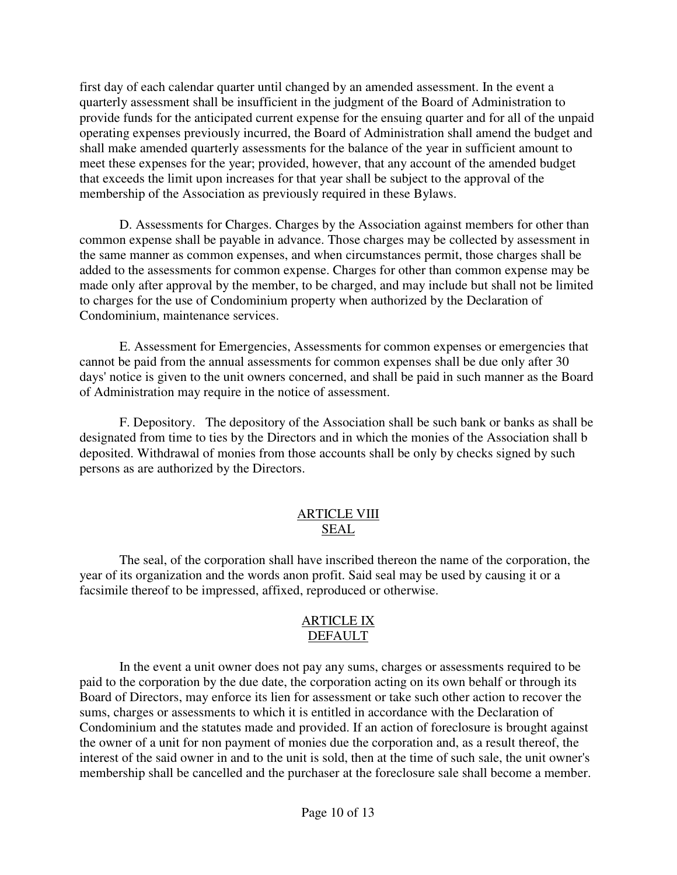first day of each calendar quarter until changed by an amended assessment. In the event a quarterly assessment shall be insufficient in the judgment of the Board of Administration to provide funds for the anticipated current expense for the ensuing quarter and for all of the unpaid operating expenses previously incurred, the Board of Administration shall amend the budget and shall make amended quarterly assessments for the balance of the year in sufficient amount to meet these expenses for the year; provided, however, that any account of the amended budget that exceeds the limit upon increases for that year shall be subject to the approval of the membership of the Association as previously required in these Bylaws.

 D. Assessments for Charges. Charges by the Association against members for other than common expense shall be payable in advance. Those charges may be collected by assessment in the same manner as common expenses, and when circumstances permit, those charges shall be added to the assessments for common expense. Charges for other than common expense may be made only after approval by the member, to be charged, and may include but shall not be limited to charges for the use of Condominium property when authorized by the Declaration of Condominium, maintenance services.

 E. Assessment for Emergencies, Assessments for common expenses or emergencies that cannot be paid from the annual assessments for common expenses shall be due only after 30 days' notice is given to the unit owners concerned, and shall be paid in such manner as the Board of Administration may require in the notice of assessment.

 F. Depository. The depository of the Association shall be such bank or banks as shall be designated from time to ties by the Directors and in which the monies of the Association shall b deposited. Withdrawal of monies from those accounts shall be only by checks signed by such persons as are authorized by the Directors.

# ARTICLE VIII SEAL

 The seal, of the corporation shall have inscribed thereon the name of the corporation, the year of its organization and the words anon profit. Said seal may be used by causing it or a facsimile thereof to be impressed, affixed, reproduced or otherwise.

# ARTICLE IX DEFAULT

 In the event a unit owner does not pay any sums, charges or assessments required to be paid to the corporation by the due date, the corporation acting on its own behalf or through its Board of Directors, may enforce its lien for assessment or take such other action to recover the sums, charges or assessments to which it is entitled in accordance with the Declaration of Condominium and the statutes made and provided. If an action of foreclosure is brought against the owner of a unit for non payment of monies due the corporation and, as a result thereof, the interest of the said owner in and to the unit is sold, then at the time of such sale, the unit owner's membership shall be cancelled and the purchaser at the foreclosure sale shall become a member.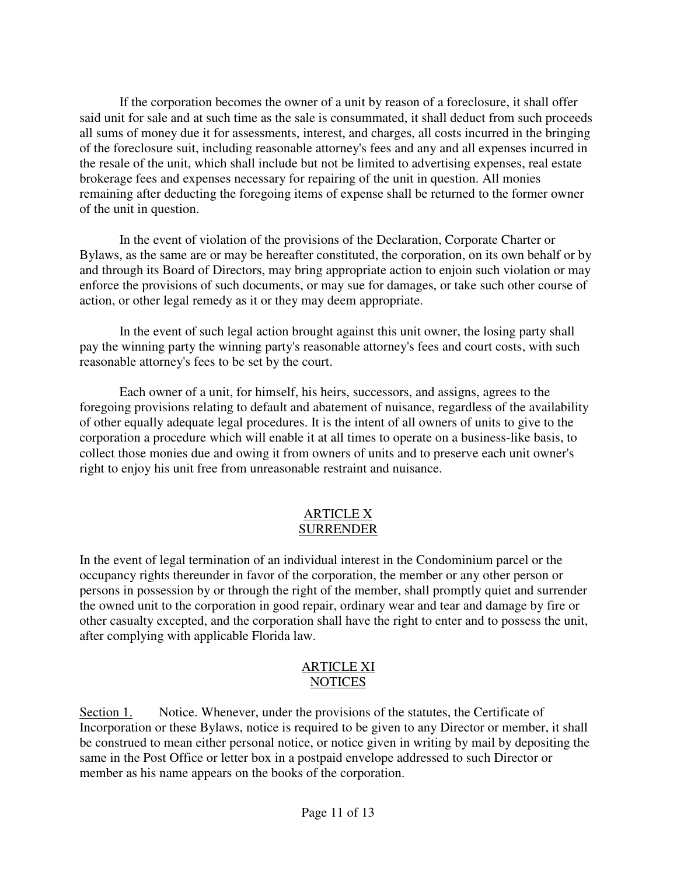If the corporation becomes the owner of a unit by reason of a foreclosure, it shall offer said unit for sale and at such time as the sale is consummated, it shall deduct from such proceeds all sums of money due it for assessments, interest, and charges, all costs incurred in the bringing of the foreclosure suit, including reasonable attorney's fees and any and all expenses incurred in the resale of the unit, which shall include but not be limited to advertising expenses, real estate brokerage fees and expenses necessary for repairing of the unit in question. All monies remaining after deducting the foregoing items of expense shall be returned to the former owner of the unit in question.

 In the event of violation of the provisions of the Declaration, Corporate Charter or Bylaws, as the same are or may be hereafter constituted, the corporation, on its own behalf or by and through its Board of Directors, may bring appropriate action to enjoin such violation or may enforce the provisions of such documents, or may sue for damages, or take such other course of action, or other legal remedy as it or they may deem appropriate.

 In the event of such legal action brought against this unit owner, the losing party shall pay the winning party the winning party's reasonable attorney's fees and court costs, with such reasonable attorney's fees to be set by the court.

 Each owner of a unit, for himself, his heirs, successors, and assigns, agrees to the foregoing provisions relating to default and abatement of nuisance, regardless of the availability of other equally adequate legal procedures. It is the intent of all owners of units to give to the corporation a procedure which will enable it at all times to operate on a business-like basis, to collect those monies due and owing it from owners of units and to preserve each unit owner's right to enjoy his unit free from unreasonable restraint and nuisance.

#### ARTICLE X SURRENDER

In the event of legal termination of an individual interest in the Condominium parcel or the occupancy rights thereunder in favor of the corporation, the member or any other person or persons in possession by or through the right of the member, shall promptly quiet and surrender the owned unit to the corporation in good repair, ordinary wear and tear and damage by fire or other casualty excepted, and the corporation shall have the right to enter and to possess the unit, after complying with applicable Florida law.

# ARTICLE XI NOTICES

Section 1. Notice. Whenever, under the provisions of the statutes, the Certificate of Incorporation or these Bylaws, notice is required to be given to any Director or member, it shall be construed to mean either personal notice, or notice given in writing by mail by depositing the same in the Post Office or letter box in a postpaid envelope addressed to such Director or member as his name appears on the books of the corporation.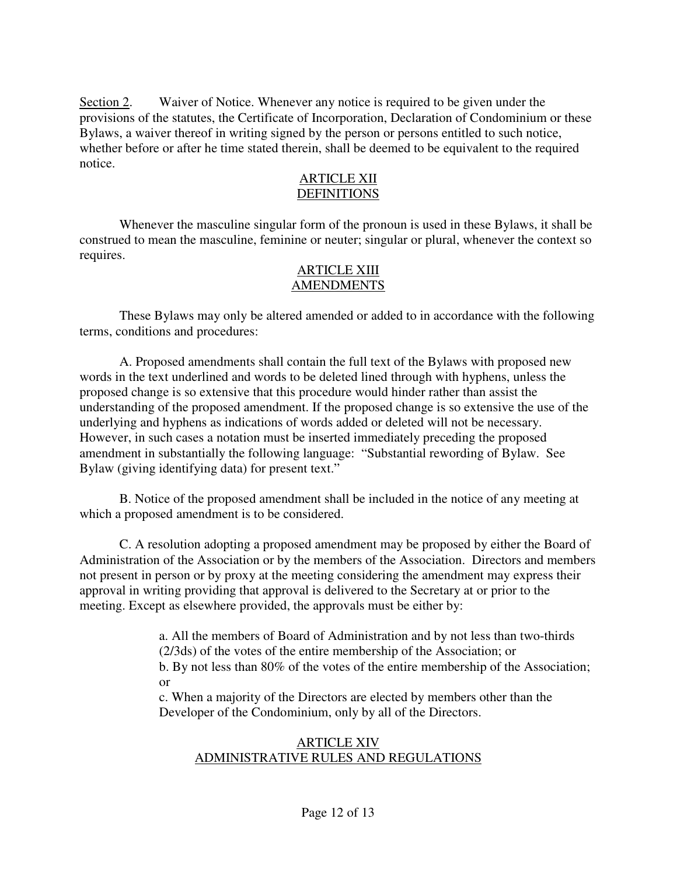Section 2. Waiver of Notice. Whenever any notice is required to be given under the provisions of the statutes, the Certificate of Incorporation, Declaration of Condominium or these Bylaws, a waiver thereof in writing signed by the person or persons entitled to such notice, whether before or after he time stated therein, shall be deemed to be equivalent to the required notice.

#### ARTICLE XII DEFINITIONS

 Whenever the masculine singular form of the pronoun is used in these Bylaws, it shall be construed to mean the masculine, feminine or neuter; singular or plural, whenever the context so requires.

#### ARTICLE XIII AMENDMENTS

 These Bylaws may only be altered amended or added to in accordance with the following terms, conditions and procedures:

 A. Proposed amendments shall contain the full text of the Bylaws with proposed new words in the text underlined and words to be deleted lined through with hyphens, unless the proposed change is so extensive that this procedure would hinder rather than assist the understanding of the proposed amendment. If the proposed change is so extensive the use of the underlying and hyphens as indications of words added or deleted will not be necessary. However, in such cases a notation must be inserted immediately preceding the proposed amendment in substantially the following language: "Substantial rewording of Bylaw. See Bylaw (giving identifying data) for present text."

 B. Notice of the proposed amendment shall be included in the notice of any meeting at which a proposed amendment is to be considered.

 C. A resolution adopting a proposed amendment may be proposed by either the Board of Administration of the Association or by the members of the Association. Directors and members not present in person or by proxy at the meeting considering the amendment may express their approval in writing providing that approval is delivered to the Secretary at or prior to the meeting. Except as elsewhere provided, the approvals must be either by:

> a. All the members of Board of Administration and by not less than two-thirds (2/3ds) of the votes of the entire membership of the Association; or b. By not less than 80% of the votes of the entire membership of the Association; or

c. When a majority of the Directors are elected by members other than the Developer of the Condominium, only by all of the Directors.

# ARTICLE XIV ADMINISTRATIVE RULES AND REGULATIONS